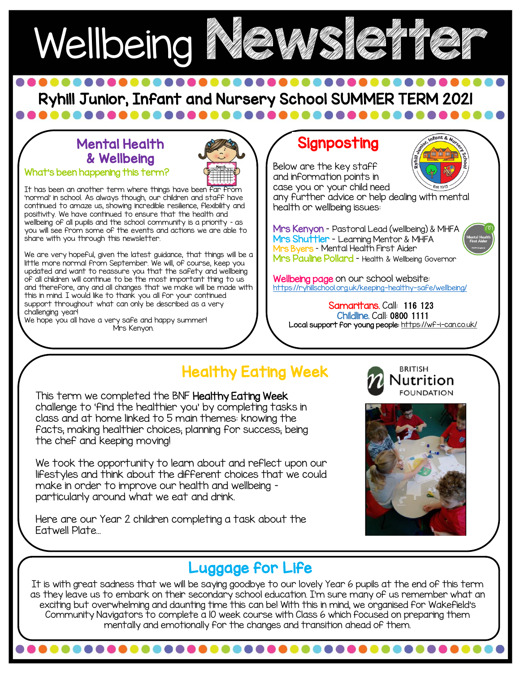

Ryhill Junior, Infant and Nursery School SUMMER TERM 2021

### Mental Health & Wellbeing

What's been happening this term?



It has been an another term where things have been far from 'normal' in school. As always though, our children and staff have continued to amaze us, showing incredible resilience, flexibility and positivity. We have continued to ensure that the health and wellbeing of all pupils and the school community is a priority – as you will see from some of the events and actions we are able to share with you through this newsletter.

We are very hopeful, given the latest guidance, that things will be a little more normal from September. We will, of course, keep you updated and want to reassure you that the safety and wellbeing of all children will continue to be the most important thing to us and therefore, any and all changes that we make will be made with this in mind. I would like to thank you all for your continued support throughout what can only be described as a very challenging year!

We hope you all have a very safe and happy summer! Mrs Kenyon.

### **Signposting**

Below are the key staff and information points in case you or your child need

any further advice or help dealing with mental health or wellbeing issues:

Mrs Kenyon – Pastoral Lead (wellbeing) & MHFA Mrs Shuttler - Learning Mentor & MHFA Mrs Byers – Mental Health First Aider Mrs Pauline Pollard - Health & Wellbeing Governor

**Wellbeing page** on our school website: <https://ryhillschool.org.uk/keeping-healthy-safe/wellbeing/>

Samaritans. Call: 116 123 Childline. Call: 0800 1111 Local support for young people:<https://wf-i-can.co.uk/>

### Healthy Eating Week

This term we completed the BNF Healthy Eating Week challenge to 'find the healthier you' by completing tasks in class and at home linked to 5 main themes: knowing the facts; making healthier choices; planning for success; being the chef and keeping moving!

 $\overline{\mathbf{r}}$ We took the opportunity to learn about and reflect upon our lifestyles and think about the different choices that we could make in order to improve our health and wellbeing – particularly around what we eat and drink.

Here are our Year 2 children completing a task about the Eatwell Plate…



**BRITISH** 

utrition

ntal Hea<br>irst Aide

### Luggage for Life

; they leave us to embark on their secondary school education. I'm sure many of us remember what c<br>exciting but overwhelming and daunting time this can be! With this in mind, we organised for Wakefield's It is with great sadness that we will be saying goodbye to our lovely Year 6 pupils at the end of this term as they leave us to embark on their secondary school education. I'm sure many of us remember what an Community Navigators to complete a 10 week course with Class 6 which focused on preparing them mentally and emotionally for the changes and transition ahead of them.

. . . . . . . . . .